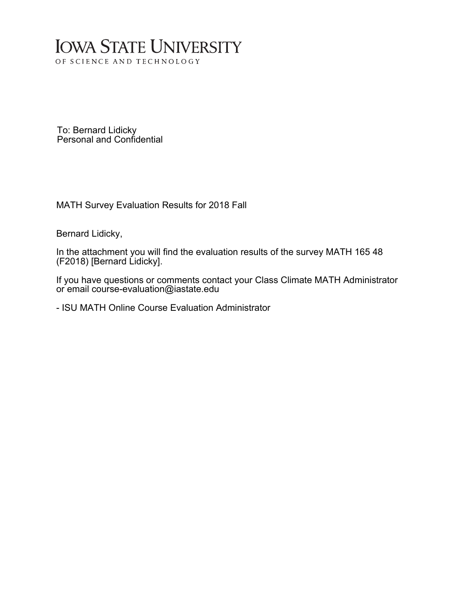## **IOWA STATE UNIVERSITY** OF SCIENCE AND TECHNOLOGY

To: Bernard Lidicky Personal and Confidential

MATH Survey Evaluation Results for 2018 Fall

Bernard Lidicky,

In the attachment you will find the evaluation results of the survey MATH 165 48 (F2018) [Bernard Lidicky].

If you have questions or comments contact your Class Climate MATH Administrator or email course-evaluation@iastate.edu

- ISU MATH Online Course Evaluation Administrator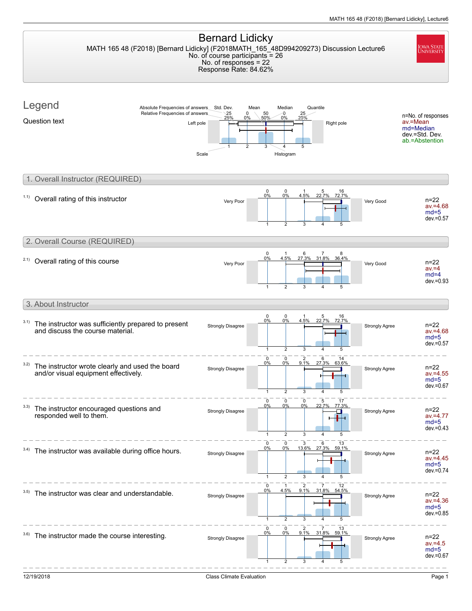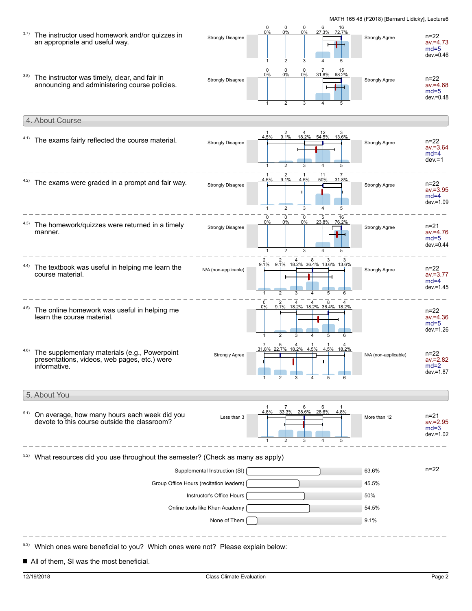| 3.7) | The instructor used homework and/or quizzes in<br>an appropriate and useful way.                              | <b>Strongly Disagree</b> | $\mathbf 0$<br>0%<br>1                                                                                          | $\mathbf 0$<br>0%<br>2           | $\mathbf 0$<br>0%<br>3 | 6<br>27.3%                  | 16<br>72.7%                                    | <b>Strongly Agree</b> | $n = 22$<br>$av = 4.73$<br>$md=5$<br>$dev = 0.46$ |
|------|---------------------------------------------------------------------------------------------------------------|--------------------------|-----------------------------------------------------------------------------------------------------------------|----------------------------------|------------------------|-----------------------------|------------------------------------------------|-----------------------|---------------------------------------------------|
| 3.8) | The instructor was timely, clear, and fair in<br>announcing and administering course policies.                | <b>Strongly Disagree</b> | $\mathbf 0$<br>0%                                                                                               | $\Omega$<br>0%<br>$\overline{2}$ | $\mathbf 0$<br>0%<br>3 | 31.8% 68.2%                 | 15                                             | Strongly Agree        | n=22<br>$av = 4.68$<br>$md=5$<br>$dev = 0.48$     |
|      | 4. About Course                                                                                               |                          |                                                                                                                 |                                  |                        |                             |                                                |                       |                                                   |
|      | 4.1) The exams fairly reflected the course material.                                                          | <b>Strongly Disagree</b> | 4.5%                                                                                                            | 2<br>9.1%                        | 3                      | 4 12 3<br>18.2% 54.5% 13.6% | 5                                              | Strongly Agree        | n=22<br>$av = 3.64$<br>$md=4$<br>$dev = 1$        |
|      | The exams were graded in a prompt and fair way.                                                               | <b>Strongly Disagree</b> | 4.5%<br>$\mathbf{1}$                                                                                            | 9.1%<br>$\overline{2}$           | 4.5%<br>3              | 11<br>50%                   | 31.8%                                          | <b>Strongly Agree</b> | $n = 22$<br>$av = 3.95$<br>$md=4$<br>$dev = 1.09$ |
|      | The homework/quizzes were returned in a timely<br>manner.                                                     | <b>Strongly Disagree</b> | 0<br>0%                                                                                                         | 0<br>0%<br>2                     | 0<br>0%<br>3           | 5<br>23.8% 76.2%            | 16                                             | <b>Strongly Agree</b> | n=21<br>$av = 4.76$<br>$md=5$<br>$dev = 0.44$     |
| 4.4) | The textbook was useful in helping me learn the<br>course material.                                           | N/A (non-applicable)     | 2 2 4 8 3 3<br>9.1% 9.1% 18.2% 36.4% 13.6% 13.6%<br>$\mathbf{1}$                                                | $\overline{2}$                   | 3                      | 5                           | 6                                              | <b>Strongly Agree</b> | n=22<br>$av = 3.77$<br>$md=4$<br>$dev = 1.45$     |
| 4.5) | The online homework was useful in helping me<br>learn the course material.                                    |                          | 0%<br>$\overline{1}$                                                                                            | $\overline{2}$<br>3              |                        | 5                           | 2 4 4 8 4<br>9.1% 18.2% 18.2% 36.4% 18.2%<br>6 |                       | $n=22$<br>$av = 4.36$<br>$md=5$<br>$dev = 1.26$   |
| 4.6) | The supplementary materials (e.g., Powerpoint<br>presentations, videos, web pages, etc.) were<br>informative. | <b>Strongly Agree</b>    | $\frac{7}{31.8\%}$ $\frac{5}{22.7\%}$ $\frac{4}{18.2\%}$ $\frac{1}{4.5\%}$ $\frac{1}{4.5\%}$ $\frac{4}{18.2\%}$ |                                  |                        |                             |                                                | N/A (non-applicable)  | n=22<br>$av = 2.82$<br>$md=2$<br>$dev = 1.87$     |
|      | 5. About You                                                                                                  |                          |                                                                                                                 |                                  |                        |                             |                                                |                       |                                                   |
| 5.1) | On average, how many hours each week did you<br>devote to this course outside the classroom?                  | Less than 3              | 4.8%                                                                                                            | 7<br>33.3%<br>2                  | 6<br>28.6%             | 6<br>28.6%                  | 4.8%<br>5                                      | More than 12          | n=21<br>$av = 2.95$<br>$md=3$<br>$dev = 1.02$     |
|      | What resources did you use throughout the semester? (Check as many as apply)                                  |                          |                                                                                                                 |                                  |                        |                             |                                                |                       |                                                   |
|      | Supplemental Instruction (SI)                                                                                 |                          |                                                                                                                 |                                  |                        |                             |                                                |                       | n=22                                              |
|      | Group Office Hours (recitation leaders)                                                                       | 45.5%                    |                                                                                                                 |                                  |                        |                             |                                                |                       |                                                   |
|      | Instructor's Office Hours                                                                                     | 50%                      |                                                                                                                 |                                  |                        |                             |                                                |                       |                                                   |
|      | Online tools like Khan Academy                                                                                | 54.5%                    |                                                                                                                 |                                  |                        |                             |                                                |                       |                                                   |
|      |                                                                                                               | None of Them             |                                                                                                                 |                                  |                        |                             |                                                | 9.1%                  |                                                   |
|      | Which ones were beneficial to you? Which ones were not? Please explain below:                                 |                          |                                                                                                                 |                                  |                        |                             |                                                |                       |                                                   |

All of them, SI was the most beneficial.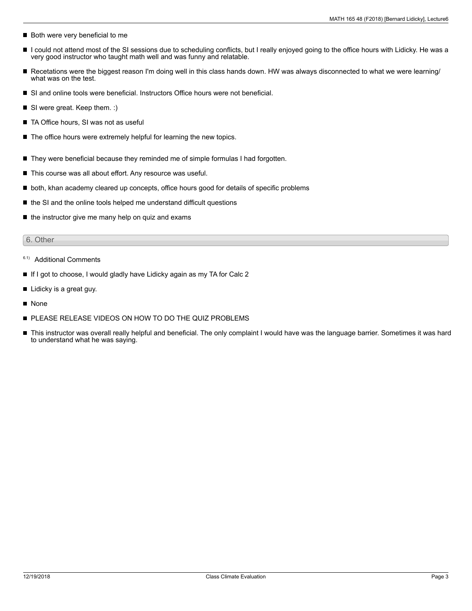- Both were very beneficial to me
- $\blacksquare$ I could not attend most of the SI sessions due to scheduling conflicts, but I really enjoyed going to the office hours with Lidicky. He was a very good instructor who taught math well and was funny and relatable.
- Recetations were the biggest reason I'm doing well in this class hands down. HW was always disconnected to what we were learning/ what was on the test.
- SI and online tools were beneficial. Instructors Office hours were not beneficial.
- SI were great. Keep them. :)
- TA Office hours, SI was not as useful
- $\blacksquare$  The office hours were extremely helpful for learning the new topics.
- They were beneficial because they reminded me of simple formulas I had forgotten.
- This course was all about effort. Any resource was useful.
- $\blacksquare$  both, khan academy cleared up concepts, office hours good for details of specific problems
- the SI and the online tools helped me understand difficult questions
- $\blacksquare$  the instructor give me many help on quiz and exams

#### 6. Other

- <sup>6.1)</sup> Additional Comments
- If I got to choose, I would gladly have Lidicky again as my TA for Calc 2
- Lidicky is a great guy.
- **None**
- **PLEASE RELEASE VIDEOS ON HOW TO DO THE QUIZ PROBLEMS**
- This instructor was overall really helpful and beneficial. The only complaint I would have was the language barrier. Sometimes it was hard to understand what he was saying.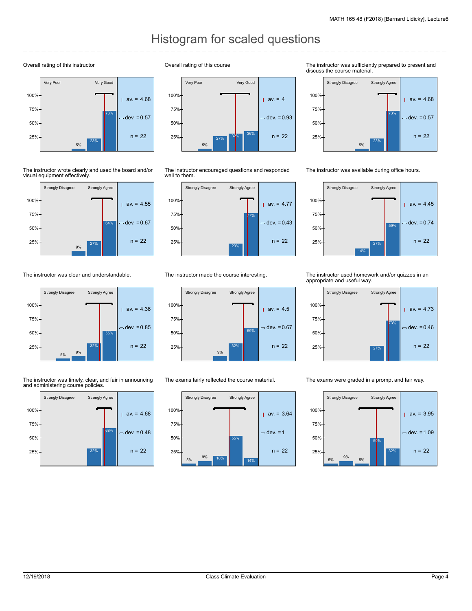# Histogram for scaled questions

#### Overall rating of this instructor



The instructor wrote clearly and used the board and/or visual equipment effectively.



The instructor was clear and understandable.



The instructor was timely, clear, and fair in announcing and administering course policies.



#### Overall rating of this course



The instructor encouraged questions and responded well to them.



The instructor made the course interesting.



The exams fairly reflected the course material.



The instructor was sufficiently prepared to present and discuss the course material.



The instructor was available during office hours.



The instructor used homework and/or quizzes in an appropriate and useful way.



The exams were graded in a prompt and fair way.

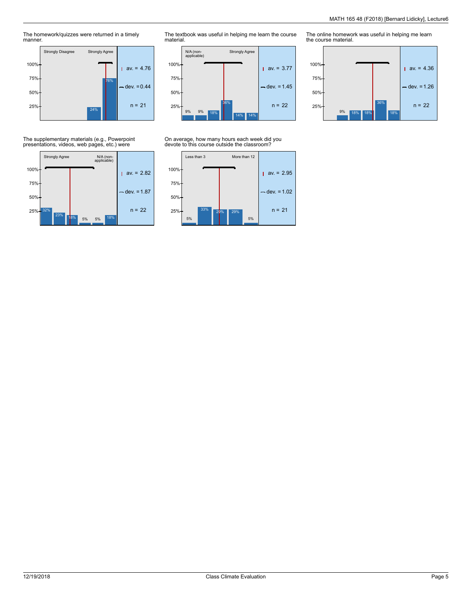The homework/quizzes were returned in a timely manner.



The textbook was useful in helping me learn the course material.



### On average, how many hours each week did you devote to this course outside the classroom?



The online homework was useful in helping me learn the course material.



The supplementary materials (e.g., Powerpoint presentations, videos, web pages, etc.) were

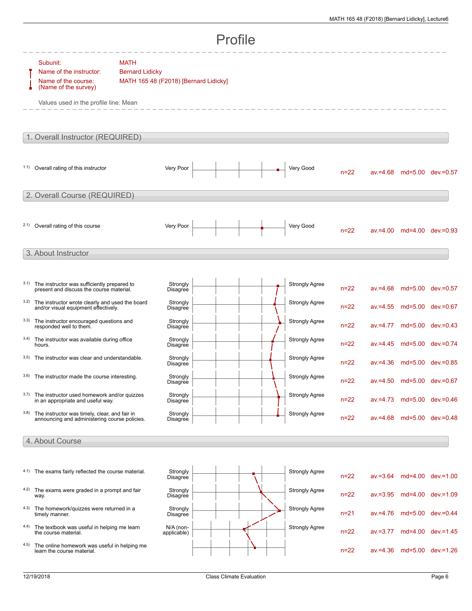|                                  | Profile                                                                                                                     |                                                                                |          |  |                       |          |             |                            |                            |  |  |
|----------------------------------|-----------------------------------------------------------------------------------------------------------------------------|--------------------------------------------------------------------------------|----------|--|-----------------------|----------|-------------|----------------------------|----------------------------|--|--|
|                                  | Subunit:<br>Name of the instructor:<br>Name of the course:<br>(Name of the survey)<br>Values used in the profile line: Mean | <b>MATH</b><br><b>Bernard Lidicky</b><br>MATH 165 48 (F2018) [Bernard Lidicky] |          |  |                       |          |             |                            |                            |  |  |
| 1. Overall Instructor (REQUIRED) |                                                                                                                             |                                                                                |          |  |                       |          |             |                            |                            |  |  |
|                                  | 1.1) Overall rating of this instructor                                                                                      | Very Poor                                                                      |          |  | Very Good             | $n=22$   |             |                            | av.=4.68 md=5.00 dev.=0.57 |  |  |
|                                  | 2. Overall Course (REQUIRED)                                                                                                |                                                                                |          |  |                       |          |             |                            |                            |  |  |
|                                  | 2.1) Overall rating of this course                                                                                          | Very Poor                                                                      |          |  | Very Good             | $n=22$   |             |                            | av.=4.00 md=4.00 dev.=0.93 |  |  |
| 3. About Instructor              |                                                                                                                             |                                                                                |          |  |                       |          |             |                            |                            |  |  |
| 3.1)                             | The instructor was sufficiently prepared to<br>present and discuss the course material.                                     | <b>Disagree</b>                                                                | Strongly |  | <b>Strongly Agree</b> | $n = 22$ | $av = 4.68$ |                            | md=5.00 dev.=0.57          |  |  |
| 3.2)                             | The instructor wrote clearly and used the board<br>and/or visual equipment effectively.                                     | Disagree                                                                       | Strongly |  | <b>Strongly Agree</b> | $n = 22$ | $av = 4.55$ |                            | md=5.00 dev.=0.67          |  |  |
| 3.3)                             | The instructor encouraged questions and<br>responded well to them.                                                          | Disagree                                                                       | Strongly |  | <b>Strongly Agree</b> | $n = 22$ | $av = 4.77$ |                            | md=5.00 dev.=0.43          |  |  |
| 3.4)                             | The instructor was available during office<br>hours.                                                                        | Disagree                                                                       | Strongly |  | <b>Strongly Agree</b> | $n = 22$ | $av = 4.45$ |                            | md=5.00 dev.=0.74          |  |  |
| 3.5)                             | The instructor was clear and understandable.                                                                                | Disagree                                                                       | Strongly |  | <b>Strongly Agree</b> | $n = 22$ |             |                            | av.=4.36 md=5.00 dev.=0.85 |  |  |
| 3.6)                             | The instructor made the course interesting.                                                                                 | Disagree                                                                       | Strongly |  | <b>Strongly Agree</b> | $n=22$   |             | av.=4.50 md=5.00 dev.=0.67 |                            |  |  |
| 3.7)                             | The instructor used homework and/or quizzes<br>in an appropriate and useful way.                                            | Disagree                                                                       | Strongly |  | <b>Strongly Agree</b> | $n = 22$ |             |                            | av.=4.73 md=5.00 dev.=0.46 |  |  |
| 3.8)                             | The instructor was timely, clear, and fair in<br>announcing and administering course policies.                              | <b>Disagree</b>                                                                | Strongly |  | <b>Strongly Agree</b> | $n = 22$ |             |                            | av.=4.68 md=5.00 dev.=0.48 |  |  |
|                                  | 4. About Course                                                                                                             |                                                                                |          |  |                       |          |             |                            |                            |  |  |
|                                  | 4.1) The exams fairly reflected the course material.                                                                        | Disagree                                                                       | Strongly |  | <b>Strongly Agree</b> | $n = 22$ | $av = 3.64$ |                            | md=4.00 dev.=1.00          |  |  |
|                                  | 4.2) The exams were graded in a prompt and fair<br>way.                                                                     | Disagree                                                                       | Strongly |  | <b>Strongly Agree</b> | $n = 22$ | $av = 3.95$ |                            | md=4.00 dev.=1.09          |  |  |
|                                  | 4.3) The homework/quizzes were returned in a<br>timely manner.                                                              | Disagree                                                                       | Strongly |  | <b>Strongly Agree</b> | $n = 21$ | $av = 4.76$ |                            | md=5.00 dev.=0.44          |  |  |
|                                  | 4.4) The textbook was useful in helping me learn<br>the course material.                                                    | $N/A$ (non-<br>applicable)                                                     |          |  | <b>Strongly Agree</b> | $n = 22$ | $av = 3.77$ |                            | md=4.00 dev.=1.45          |  |  |
| 4.5)                             | The online homework was useful in helping me<br>learn the course material.                                                  |                                                                                |          |  |                       | $n = 22$ | $av = 4.36$ |                            | md=5.00 dev.=1.26          |  |  |